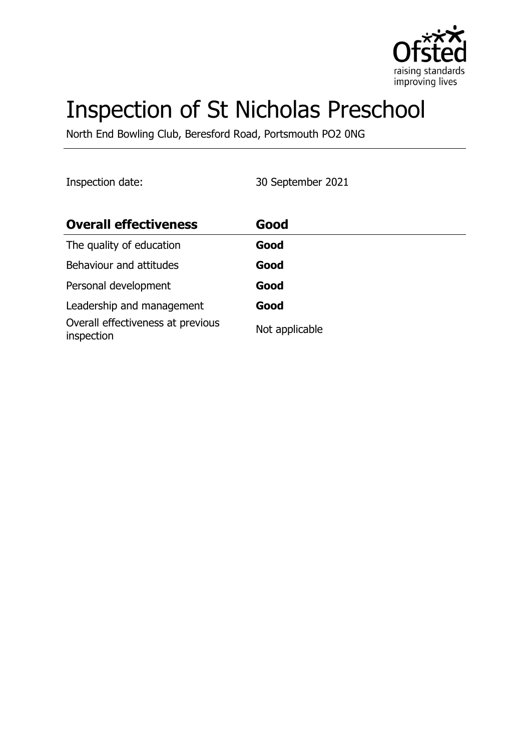

# Inspection of St Nicholas Preschool

North End Bowling Club, Beresford Road, Portsmouth PO2 0NG

Inspection date: 30 September 2021

| <b>Overall effectiveness</b>                    | Good           |
|-------------------------------------------------|----------------|
| The quality of education                        | Good           |
| Behaviour and attitudes                         | Good           |
| Personal development                            | Good           |
| Leadership and management                       | Good           |
| Overall effectiveness at previous<br>inspection | Not applicable |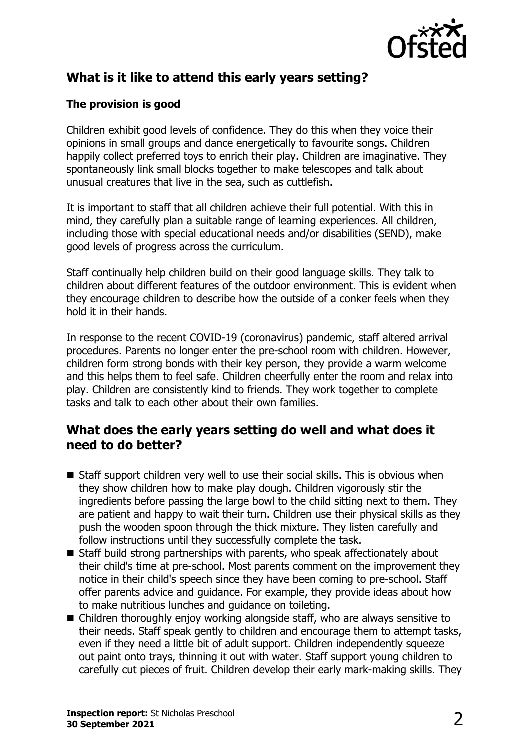

## **What is it like to attend this early years setting?**

#### **The provision is good**

Children exhibit good levels of confidence. They do this when they voice their opinions in small groups and dance energetically to favourite songs. Children happily collect preferred toys to enrich their play. Children are imaginative. They spontaneously link small blocks together to make telescopes and talk about unusual creatures that live in the sea, such as cuttlefish.

It is important to staff that all children achieve their full potential. With this in mind, they carefully plan a suitable range of learning experiences. All children, including those with special educational needs and/or disabilities (SEND), make good levels of progress across the curriculum.

Staff continually help children build on their good language skills. They talk to children about different features of the outdoor environment. This is evident when they encourage children to describe how the outside of a conker feels when they hold it in their hands.

In response to the recent COVID-19 (coronavirus) pandemic, staff altered arrival procedures. Parents no longer enter the pre-school room with children. However, children form strong bonds with their key person, they provide a warm welcome and this helps them to feel safe. Children cheerfully enter the room and relax into play. Children are consistently kind to friends. They work together to complete tasks and talk to each other about their own families.

#### **What does the early years setting do well and what does it need to do better?**

- $\blacksquare$  Staff support children very well to use their social skills. This is obvious when they show children how to make play dough. Children vigorously stir the ingredients before passing the large bowl to the child sitting next to them. They are patient and happy to wait their turn. Children use their physical skills as they push the wooden spoon through the thick mixture. They listen carefully and follow instructions until they successfully complete the task.
- $\blacksquare$  Staff build strong partnerships with parents, who speak affectionately about their child's time at pre-school. Most parents comment on the improvement they notice in their child's speech since they have been coming to pre-school. Staff offer parents advice and guidance. For example, they provide ideas about how to make nutritious lunches and guidance on toileting.
- $\blacksquare$  Children thoroughly enjoy working alongside staff, who are always sensitive to their needs. Staff speak gently to children and encourage them to attempt tasks, even if they need a little bit of adult support. Children independently squeeze out paint onto trays, thinning it out with water. Staff support young children to carefully cut pieces of fruit. Children develop their early mark-making skills. They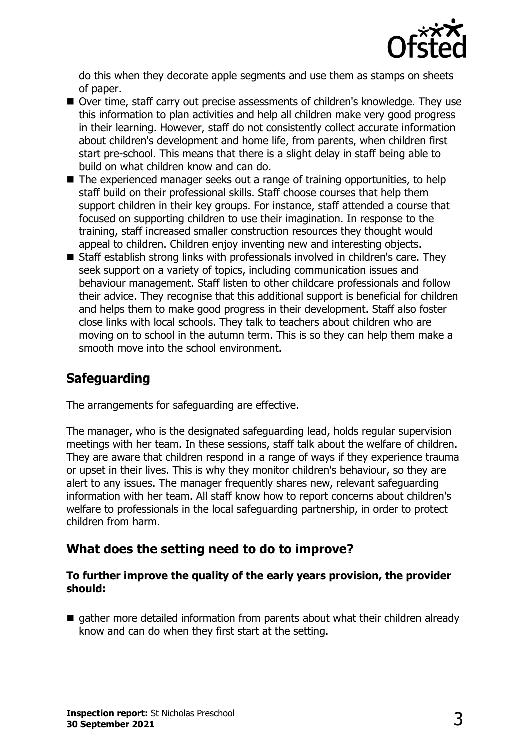

do this when they decorate apple segments and use them as stamps on sheets of paper.

- Over time, staff carry out precise assessments of children's knowledge. They use this information to plan activities and help all children make very good progress in their learning. However, staff do not consistently collect accurate information about children's development and home life, from parents, when children first start pre-school. This means that there is a slight delay in staff being able to build on what children know and can do.
- $\blacksquare$  The experienced manager seeks out a range of training opportunities, to help staff build on their professional skills. Staff choose courses that help them support children in their key groups. For instance, staff attended a course that focused on supporting children to use their imagination. In response to the training, staff increased smaller construction resources they thought would appeal to children. Children enjoy inventing new and interesting objects.
- $\blacksquare$  Staff establish strong links with professionals involved in children's care. They seek support on a variety of topics, including communication issues and behaviour management. Staff listen to other childcare professionals and follow their advice. They recognise that this additional support is beneficial for children and helps them to make good progress in their development. Staff also foster close links with local schools. They talk to teachers about children who are moving on to school in the autumn term. This is so they can help them make a smooth move into the school environment.

## **Safeguarding**

The arrangements for safeguarding are effective.

The manager, who is the designated safeguarding lead, holds regular supervision meetings with her team. In these sessions, staff talk about the welfare of children. They are aware that children respond in a range of ways if they experience trauma or upset in their lives. This is why they monitor children's behaviour, so they are alert to any issues. The manager frequently shares new, relevant safeguarding information with her team. All staff know how to report concerns about children's welfare to professionals in the local safeguarding partnership, in order to protect children from harm.

#### **What does the setting need to do to improve?**

#### **To further improve the quality of the early years provision, the provider should:**

 $\blacksquare$  gather more detailed information from parents about what their children already know and can do when they first start at the setting.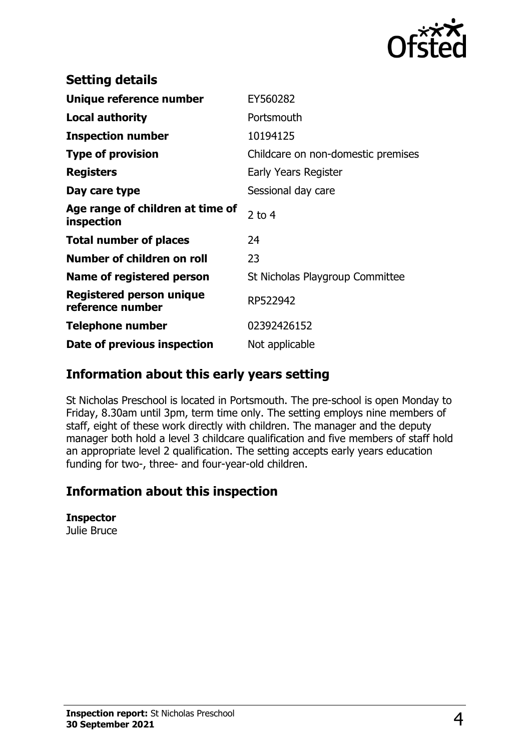

| <b>Setting details</b>                         |                                    |
|------------------------------------------------|------------------------------------|
| Unique reference number                        | EY560282                           |
| <b>Local authority</b>                         | Portsmouth                         |
| <b>Inspection number</b>                       | 10194125                           |
| <b>Type of provision</b>                       | Childcare on non-domestic premises |
| <b>Registers</b>                               | Early Years Register               |
| Day care type                                  | Sessional day care                 |
| Age range of children at time of<br>inspection | $2$ to 4                           |
| <b>Total number of places</b>                  | 24                                 |
| Number of children on roll                     | 23                                 |
| Name of registered person                      | St Nicholas Playgroup Committee    |
| Registered person unique<br>reference number   | RP522942                           |
| <b>Telephone number</b>                        | 02392426152                        |
| Date of previous inspection                    | Not applicable                     |

## **Information about this early years setting**

St Nicholas Preschool is located in Portsmouth. The pre-school is open Monday to Friday, 8.30am until 3pm, term time only. The setting employs nine members of staff, eight of these work directly with children. The manager and the deputy manager both hold a level 3 childcare qualification and five members of staff hold an appropriate level 2 qualification. The setting accepts early years education funding for two-, three- and four-year-old children.

### **Information about this inspection**

**Inspector**

Julie Bruce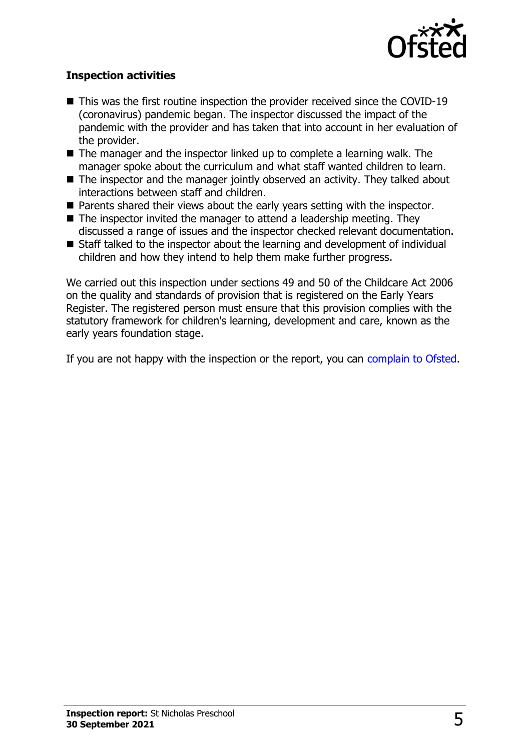

#### **Inspection activities**

- $\blacksquare$  This was the first routine inspection the provider received since the COVID-19 (coronavirus) pandemic began. The inspector discussed the impact of the pandemic with the provider and has taken that into account in her evaluation of the provider.
- $\blacksquare$  The manager and the inspector linked up to complete a learning walk. The manager spoke about the curriculum and what staff wanted children to learn.
- $\blacksquare$  The inspector and the manager jointly observed an activity. They talked about interactions between staff and children.
- $\blacksquare$  Parents shared their views about the early years setting with the inspector.
- $\blacksquare$  The inspector invited the manager to attend a leadership meeting. They discussed a range of issues and the inspector checked relevant documentation.
- $\blacksquare$  Staff talked to the inspector about the learning and development of individual children and how they intend to help them make further progress.

We carried out this inspection under sections 49 and 50 of the Childcare Act 2006 on the quality and standards of provision that is registered on the Early Years Register. The registered person must ensure that this provision complies with the statutory framework for children's learning, development and care, known as the early years foundation stage.

If you are not happy with the inspection or the report, you can [complain to Ofsted](http://www.gov.uk/complain-ofsted-report).